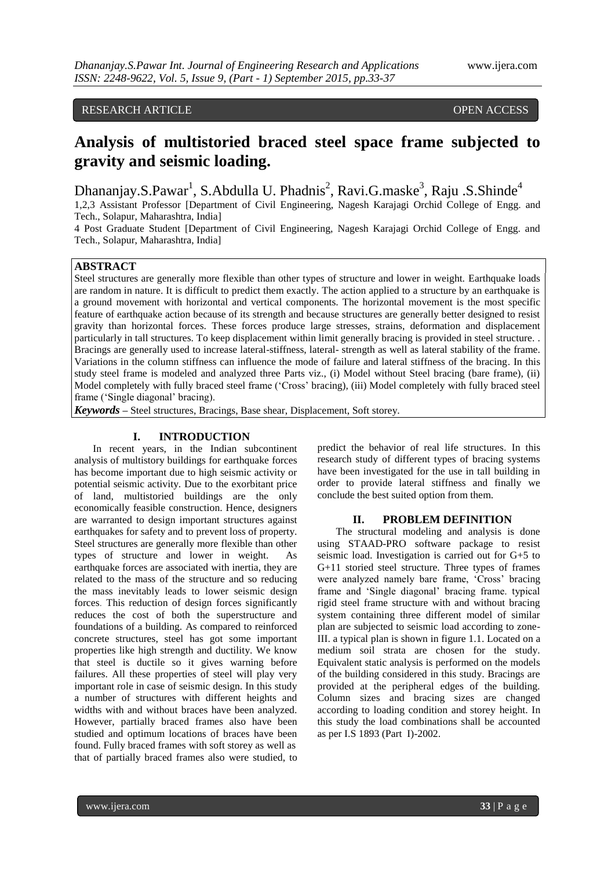# RESEARCH ARTICLE **CONTRACT ARTICLE** AND A SERVICE OPEN ACCESS

# **Analysis of multistoried braced steel space frame subjected to gravity and seismic loading.**

Dhananjay.S.Pawar<sup>1</sup>, S.Abdulla U. Phadnis<sup>2</sup>, Ravi.G.maske<sup>3</sup>, Raju .S.Shinde<sup>4</sup>

1,2,3 Assistant Professor [Department of Civil Engineering, Nagesh Karajagi Orchid College of Engg. and Tech., Solapur, Maharashtra, India]

4 Post Graduate Student [Department of Civil Engineering, Nagesh Karajagi Orchid College of Engg. and Tech., Solapur, Maharashtra, India]

## **ABSTRACT**

Steel structures are generally more flexible than other types of structure and lower in weight. Earthquake loads are random in nature. It is difficult to predict them exactly. The action applied to a structure by an earthquake is a ground movement with horizontal and vertical components. The horizontal movement is the most specific feature of earthquake action because of its strength and because structures are generally better designed to resist gravity than horizontal forces. These forces produce large stresses, strains, deformation and displacement particularly in tall structures. To keep displacement within limit generally bracing is provided in steel structure. . Bracings are generally used to increase lateral-stiffness, lateral- strength as well as lateral stability of the frame. Variations in the column stiffness can influence the mode of failure and lateral stiffness of the bracing. In this study steel frame is modeled and analyzed three Parts viz., (i) Model without Steel bracing (bare frame), (ii) Model completely with fully braced steel frame ('Cross' bracing), (iii) Model completely with fully braced steel frame ('Single diagonal' bracing).

*Keywords* **–** Steel structures, Bracings, Base shear, Displacement, Soft storey.

#### **I. INTRODUCTION**

In recent years, in the Indian subcontinent analysis of multistory buildings for earthquake forces has become important due to high seismic activity or potential seismic activity. Due to the exorbitant price of land, multistoried buildings are the only economically feasible construction. Hence, designers are warranted to design important structures against earthquakes for safety and to prevent loss of property. Steel structures are generally more flexible than other types of structure and lower in weight. As earthquake forces are associated with inertia, they are related to the mass of the structure and so reducing the mass inevitably leads to lower seismic design forces. This reduction of design forces significantly reduces the cost of both the superstructure and foundations of a building. As compared to reinforced concrete structures, steel has got some important properties like high strength and ductility. We know that steel is ductile so it gives warning before failures. All these properties of steel will play very important role in case of seismic design. In this study a number of structures with different heights and widths with and without braces have been analyzed. However, partially braced frames also have been studied and optimum locations of braces have been found. Fully braced frames with soft storey as well as that of partially braced frames also were studied, to predict the behavior of real life structures. In this research study of different types of bracing systems have been investigated for the use in tall building in order to provide lateral stiffness and finally we conclude the best suited option from them.

#### **II. PROBLEM DEFINITION**

The structural modeling and analysis is done using STAAD-PRO software package to resist seismic load. Investigation is carried out for G+5 to G+11 storied steel structure. Three types of frames were analyzed namely bare frame, "Cross" bracing frame and "Single diagonal" bracing frame. typical rigid steel frame structure with and without bracing system containing three different model of similar plan are subjected to seismic load according to zone-III. a typical plan is shown in figure 1.1. Located on a medium soil strata are chosen for the study. Equivalent static analysis is performed on the models of the building considered in this study. Bracings are provided at the peripheral edges of the building. Column sizes and bracing sizes are changed according to loading condition and storey height. In this study the load combinations shall be accounted as per I.S 1893 (Part I)-2002.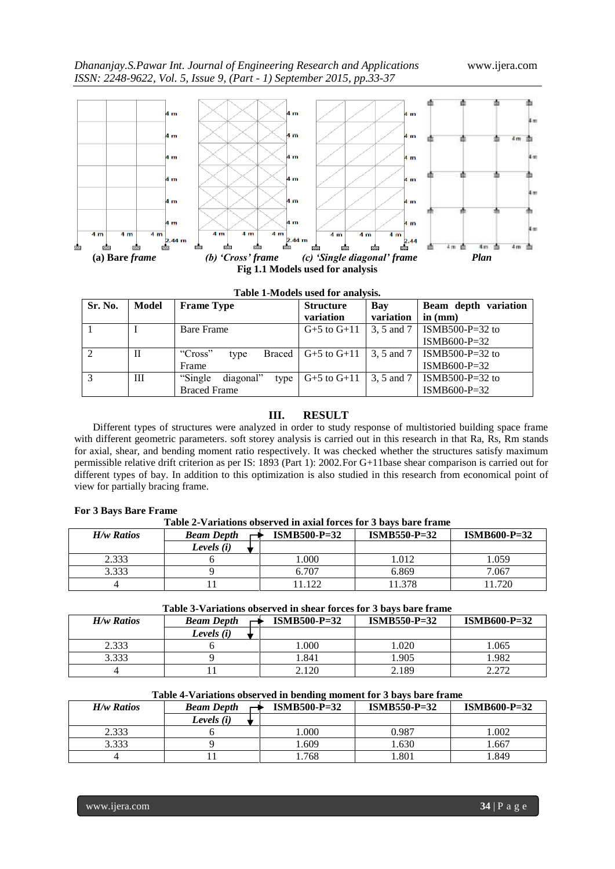

|  | Table 1-Models used for analysis. |  |  |
|--|-----------------------------------|--|--|
|--|-----------------------------------|--|--|

| Sr. No. | Model | <b>Frame Type</b>             | <b>Structure</b><br>variation | Bay<br>variation | Beam depth variation<br>in $(mm)$ |
|---------|-------|-------------------------------|-------------------------------|------------------|-----------------------------------|
|         |       | <b>Bare Frame</b>             | $G+5$ to $G+11$               | 3, 5 and 7       | ISMB500-P=32 to                   |
|         |       |                               |                               |                  | $ISMB600-P=32$                    |
|         | H     | "Cross"<br>Braced  <br>type   | $G+5$ to $G+11$               | 3, 5 and 7       | ISMB500-P=32 to                   |
|         |       | Frame                         |                               |                  | $ISMB600-P=32$                    |
| 3       | Ш     | "Single"<br>diagonal"<br>type | $G+5$ to $G+11$               | 3, 5 and 7       | ISMB500-P=32 to                   |
|         |       | <b>Braced Frame</b>           |                               |                  | $ISMB600-P=32$                    |

## **III. RESULT**

Different types of structures were analyzed in order to study response of multistoried building space frame with different geometric parameters. soft storey analysis is carried out in this research in that Ra, Rs, Rm stands for axial, shear, and bending moment ratio respectively. It was checked whether the structures satisfy maximum permissible relative drift criterion as per IS: 1893 (Part 1): 2002.For G+11base shear comparison is carried out for different types of bay. In addition to this optimization is also studied in this research from economical point of view for partially bracing frame.

#### **For 3 Bays Bare Frame**

**Table 2-Variations observed in axial forces for 3 bays bare frame**

| H/w Ratios | <b>Beam Depth</b> | $ISMB500-P=32$<br>$ISMB550-P=32$ |        | $ISMB600-P=32$ |
|------------|-------------------|----------------------------------|--------|----------------|
|            | Levels (i)        |                                  |        |                |
| 2.333      |                   | .000                             | 1.012  | .059           |
| 3.333      |                   | 6.707                            | 6.869  | 7.067          |
|            |                   | 122                              | 11.378 | 1.720          |

### **Table 3-Variations observed in shear forces for 3 bays bare frame**

| H/w Ratios | <b>Beam Depth</b> | $ISMB500-P=32$ | $ISMB550-P=32$ | $ISMB600-P=32$ |
|------------|-------------------|----------------|----------------|----------------|
|            | Levels (i)        |                |                |                |
| 2.333      |                   | .000           | 0.020          | .065           |
| 3.333      |                   | 1.841          | .905           | 1.982          |
|            |                   | 2.120          | 2.189          | 2.272          |

## **Table 4-Variations observed in bending moment for 3 bays bare frame**

| $H/w$ Ratios | <b>Beam Depth</b> | $ISMB500-P=32$ | $ISMB550-P=32$ | $ISMB600-P=32$ |
|--------------|-------------------|----------------|----------------|----------------|
|              | Levels (i)        |                |                |                |
| 2.333        |                   | .000.          | ).987          | .002           |
| 3.333        |                   | .609           | .630           | .667           |
|              |                   | .768           | .801           | .849           |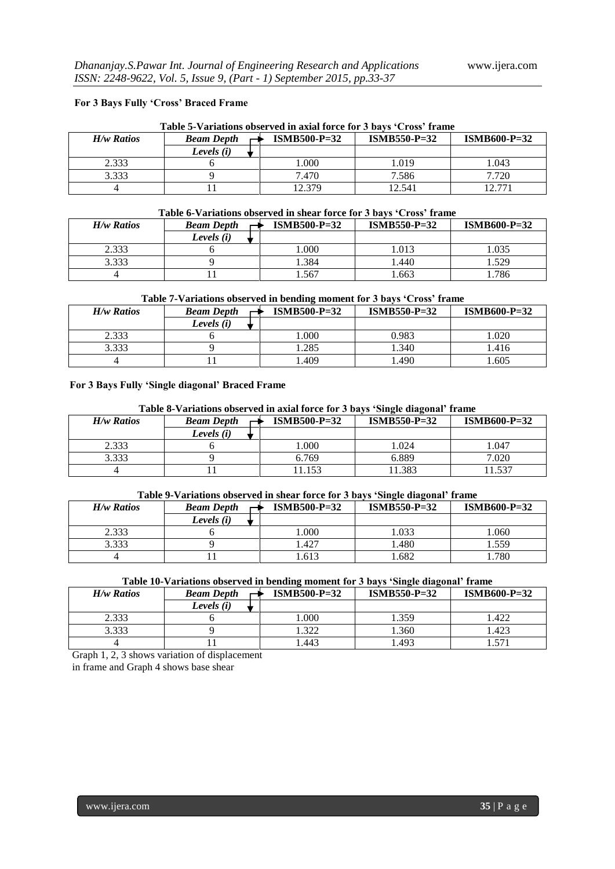## **For 3 Bays Fully 'Cross' Braced Frame**

| $H/w$ Ratios | <b>Beam Depth</b> | $ISMB600-P=32$ |        |        |
|--------------|-------------------|----------------|--------|--------|
|              | Levels $(i)$      |                |        |        |
| 2.333        |                   | 1.000          | 1.019  | 1.043  |
| 3.333        |                   | 7.470          | 7.586  | 7.720  |
|              |                   | 12.379         | 12.541 | 12.771 |

### **Table 6-Variations observed in shear force for 3 bays 'Cross' frame**

| H/w Ratios | $ISMB500-P=32$<br><b>Beam Depth</b> |      | $ISMB550-P=32$ | $ISMB600-P=32$ |
|------------|-------------------------------------|------|----------------|----------------|
|            | Levels (i)                          |      |                |                |
| 2.333      |                                     | .000 | .013           | 1.035          |
| 3.333      |                                     | .384 | .440           | 1.529          |
|            |                                     | .567 | .663           | .786           |

## **Table 7-Variations observed in bending moment for 3 bays 'Cross' frame**

| H/w Ratios | $ISMB500-P=32$<br><b>Beam Depth</b> |      | $ISMB550-P=32$ | $ISMB600-P=32$ |
|------------|-------------------------------------|------|----------------|----------------|
|            | Levels (i)                          |      |                |                |
| 2.333      |                                     | .000 | 0.983          | .020           |
| 3.333      |                                     | .285 | .340           | .416           |
|            |                                     | .409 | .490           | .605           |

#### **For 3 Bays Fully 'Single diagonal' Braced Frame**

#### **Table 8-Variations observed in axial force for 3 bays 'Single diagonal' frame**

| H/w Ratios | $ISMB500-P=32$<br><b>Beam Depth</b> |       | $ISMB550-P=32$ | $ISMB600-P=32$ |
|------------|-------------------------------------|-------|----------------|----------------|
|            | Levels (i)                          |       |                |                |
| 2.333      |                                     | .000  | 1.024          | .047           |
| 3.333      |                                     | 6.769 | 6.889          | 7.020          |
|            |                                     | .153  | 1.383          | 1.537          |

## **Table 9-Variations observed in shear force for 3 bays 'Single diagonal' frame**

| H/w Ratios | <b>Beam Depth</b> | $ISMB500-P=32$ | $ISMB550-P=32$ | $ISMB600-P=32$ |
|------------|-------------------|----------------|----------------|----------------|
|            | Levels (i)        |                |                |                |
| 2.333      |                   | .000           | 1.033          | .060           |
| 3.333      |                   | .427           | .480           | .559           |
|            |                   | 1.613          | .682           | .780           |

| Table 10-Variations observed in bending moment for 3 bays 'Single diagonal' frame |  |  |
|-----------------------------------------------------------------------------------|--|--|
|                                                                                   |  |  |

| H/w Ratios | $ISMB500-P=32$<br><b>Beam Depth</b> |      | $ISMB550-P=32$ | $ISMB600-P=32$ |
|------------|-------------------------------------|------|----------------|----------------|
|            | Levels (i)                          |      |                |                |
| 2.333      |                                     | .000 | 1.359          | .422           |
| 3.333      |                                     | .322 | .360           | .423           |
|            |                                     | .443 | .493           | . 571          |

Graph 1, 2, 3 shows variation of displacement

in frame and Graph 4 shows base shear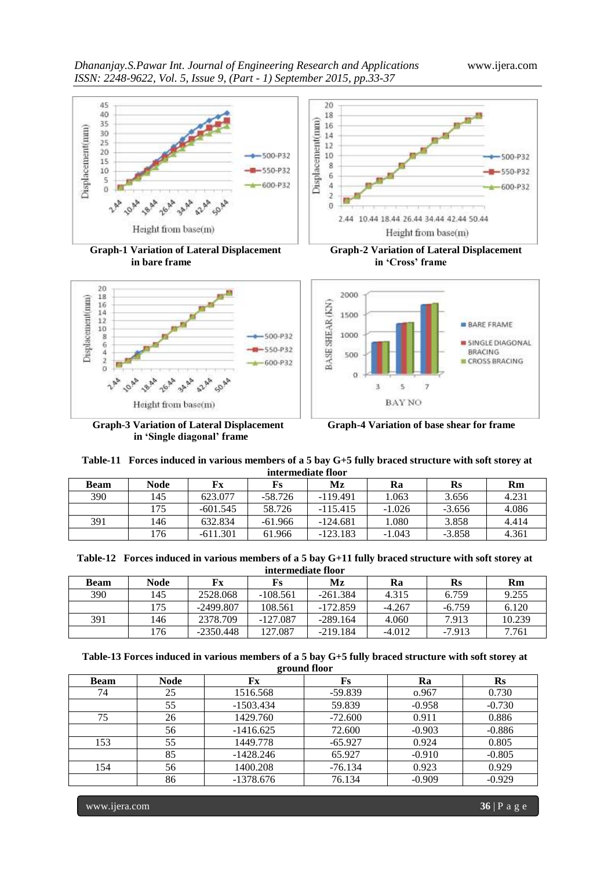



 **Graph-3 Variation of Lateral Displacement Graph-4 Variation of base shear for frame in 'Single diagonal' frame** 





| Table-11 Forces induced in various members of a 5 bay G+5 fully braced structure with soft storey at |
|------------------------------------------------------------------------------------------------------|
| intermediate floor                                                                                   |

| <b>Beam</b> | Node | Fx         | Fs        | Mz         | Ra       | Rs       | Rm    |
|-------------|------|------------|-----------|------------|----------|----------|-------|
| 390         | 145  | 623.077    | $-58.726$ | $-119.491$ | 1.063    | 3.656    | 4.231 |
|             | l 75 | $-601.545$ | 58.726    | $-115.415$ | $-1.026$ | $-3.656$ | 4.086 |
| 391         | 146  | 632.834    | $-61.966$ | $-124.681$ | 1.080    | 3.858    | 4.414 |
|             | l 76 | $-611.301$ | 61.966    | $-123.183$ | $-1.043$ | $-3.858$ | 4.361 |

|  |  |  |  |  | Table-12 Forces induced in various members of a 5 bay G+11 fully braced structure with soft storey at |
|--|--|--|--|--|-------------------------------------------------------------------------------------------------------|
|--|--|--|--|--|-------------------------------------------------------------------------------------------------------|

| intermediate floor |      |             |            |            |          |          |        |  |
|--------------------|------|-------------|------------|------------|----------|----------|--------|--|
| <b>Beam</b>        | Node | Fx          | Fs         | Mz         | Ra       | Rs       | Rm     |  |
| 390                | 145  | 2528.068    | $-108.561$ | $-261.384$ | 4.315    | 6.759    | 9.255  |  |
|                    | 175  | $-2499.807$ | 108.561    | $-172.859$ | $-4.267$ | $-6.759$ | 6.120  |  |
| 391                | 146  | 2378.709    | $-127.087$ | $-289.164$ | 4.060    | 7.913    | 10.239 |  |
|                    | 176  | $-2350.448$ | 127.087    | $-219.184$ | $-4.012$ | $-7.913$ | 7.761  |  |

## **Table-13 Forces induced in various members of a 5 bay G+5 fully braced structure with soft storey at ground floor**

| <b>Beam</b> | <b>Node</b> | Fx          | Fs        | Ra       | $\mathbf{R}$ s |
|-------------|-------------|-------------|-----------|----------|----------------|
| 74          | 25          | 1516.568    | $-59.839$ | 0.967    | 0.730          |
|             | 55          | $-1503.434$ | 59.839    | $-0.958$ | $-0.730$       |
| 75          | 26          | 1429.760    | $-72.600$ | 0.911    | 0.886          |
|             | 56          | $-1416.625$ | 72.600    | $-0.903$ | $-0.886$       |
| 153         | 55          | 1449.778    | $-65.927$ | 0.924    | 0.805          |
|             | 85          | $-1428.246$ | 65.927    | $-0.910$ | $-0.805$       |
| 154         | 56          | 1400.208    | $-76.134$ | 0.923    | 0.929          |
|             | 86          | $-1378.676$ | 76.134    | $-0.909$ | $-0.929$       |

www.ijera.com **36** | P a g e